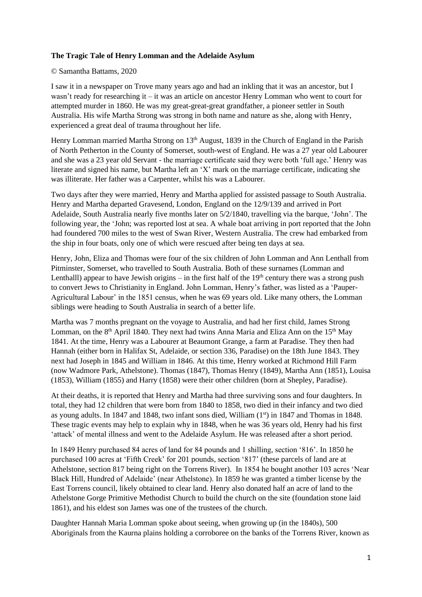## **The Tragic Tale of Henry Lomman and the Adelaide Asylum**

## © Samantha Battams, 2020

I saw it in a newspaper on Trove many years ago and had an inkling that it was an ancestor, but I wasn't ready for researching it – it was an article on ancestor Henry Lomman who went to court for attempted murder in 1860. He was my great-great-great grandfather, a pioneer settler in South Australia. His wife Martha Strong was strong in both name and nature as she, along with Henry, experienced a great deal of trauma throughout her life.

Henry Lomman married Martha Strong on 13<sup>th</sup> August, 1839 in the Church of England in the Parish of North Petherton in the County of Somerset, south-west of England. He was a 27 year old Labourer and she was a 23 year old Servant - the marriage certificate said they were both 'full age.' Henry was literate and signed his name, but Martha left an 'X' mark on the marriage certificate, indicating she was illiterate. Her father was a Carpenter, whilst his was a Labourer.

Two days after they were married, Henry and Martha applied for assisted passage to South Australia. Henry and Martha departed Gravesend, London, England on the 12/9/139 and arrived in Port Adelaide, South Australia nearly five months later on 5/2/1840, travelling via the barque, 'John'. The following year, the 'John; was reported lost at sea. A whale boat arriving in port reported that the John had foundered 700 miles to the west of Swan River, Western Australia. The crew had embarked from the ship in four boats, only one of which were rescued after being ten days at sea.

Henry, John, Eliza and Thomas were four of the six children of John Lomman and Ann Lenthall from Pitminster, Somerset, who travelled to South Australia. Both of these surnames (Lomman and Lenthalll) appear to have Jewish origins – in the first half of the  $19<sup>th</sup>$  century there was a strong push to convert Jews to Christianity in England. John Lomman, Henry's father, was listed as a 'Pauper-Agricultural Labour' in the 1851 census, when he was 69 years old. Like many others, the Lomman siblings were heading to South Australia in search of a better life.

Martha was 7 months pregnant on the voyage to Australia, and had her first child, James Strong Lomman, on the 8<sup>th</sup> April 1840. They next had twins Anna Maria and Eliza Ann on the 15<sup>th</sup> May 1841. At the time, Henry was a Labourer at Beaumont Grange, a farm at Paradise. They then had Hannah (either born in Halifax St, Adelaide, or section 336, Paradise) on the 18th June 1843. They next had Joseph in 1845 and William in 1846. At this time, Henry worked at Richmond Hill Farm (now Wadmore Park, Athelstone). Thomas (1847), Thomas Henry (1849), Martha Ann (1851), Louisa (1853), William (1855) and Harry (1858) were their other children (born at Shepley, Paradise).

At their deaths, it is reported that Henry and Martha had three surviving sons and four daughters. In total, they had 12 children that were born from 1840 to 1858, two died in their infancy and two died as young adults. In 1847 and 1848, two infant sons died, William (1<sup>st</sup>) in 1847 and Thomas in 1848. These tragic events may help to explain why in 1848, when he was 36 years old, Henry had his first 'attack' of mental illness and went to the Adelaide Asylum. He was released after a short period.

In 1849 Henry purchased 84 acres of land for 84 pounds and 1 shilling, section '816'. In 1850 he purchased 100 acres at 'Fifth Creek' for 201 pounds, section '817' (these parcels of land are at Athelstone, section 817 being right on the Torrens River). In 1854 he bought another 103 acres 'Near Black Hill, Hundred of Adelaide' (near Athelstone). In 1859 he was granted a timber license by the East Torrens council, likely obtained to clear land. Henry also donated half an acre of land to the Athelstone Gorge Primitive Methodist Church to build the church on the site (foundation stone laid 1861), and his eldest son James was one of the trustees of the church.

Daughter Hannah Maria Lomman spoke about seeing, when growing up (in the 1840s), 500 Aboriginals from the Kaurna plains holding a corroboree on the banks of the Torrens River, known as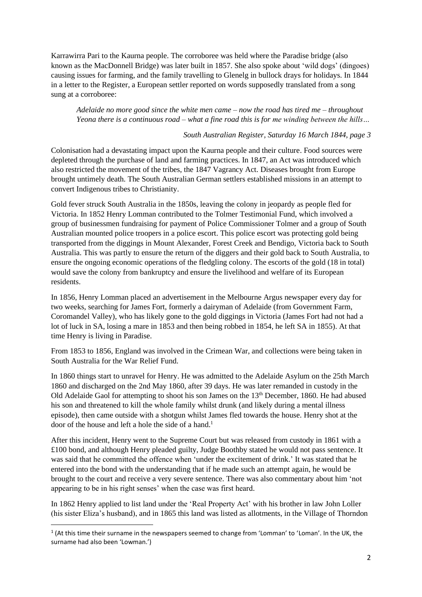Karrawirra Pari to the Kaurna people. The corroboree was held where the Paradise bridge (also known as the MacDonnell Bridge) was later built in 1857. She also spoke about 'wild dogs' (dingoes) causing issues for farming, and the family travelling to Glenelg in bullock drays for holidays. In 1844 in a letter to the Register, a European settler reported on words supposedly translated from a song sung at a corroboree:

*Adelaide no more good since the white men came – now the road has tired me – throughout Yeona there is a continuous road – what a fine road this is for me winding between the hills…*

## *South Australian Register, Saturday 16 March 1844, page 3*

Colonisation had a devastating impact upon the Kaurna people and their culture. Food sources were depleted through the purchase of land and farming practices. In 1847, an Act was introduced which also restricted the movement of the tribes, the 1847 Vagrancy Act. Diseases brought from Europe brought untimely death. The South Australian German settlers established missions in an attempt to convert Indigenous tribes to Christianity.

Gold fever struck South Australia in the 1850s, leaving the colony in jeopardy as people fled for Victoria. In 1852 Henry Lomman contributed to the Tolmer Testimonial Fund, which involved a group of businessmen fundraising for payment of Police Commissioner Tolmer and a group of South Australian mounted police troopers in a police escort. This police escort was protecting gold being transported from the diggings in Mount Alexander, Forest Creek and Bendigo, Victoria back to South Australia. This was partly to ensure the return of the diggers and their gold back to South Australia, to ensure the ongoing economic operations of the fledgling colony. The escorts of the gold (18 in total) would save the colony from bankruptcy and ensure the livelihood and welfare of its European residents.

In 1856, Henry Lomman placed an advertisement in the Melbourne Argus newspaper every day for two weeks, searching for James Fort, formerly a dairyman of Adelaide (from Government Farm, Coromandel Valley), who has likely gone to the gold diggings in Victoria (James Fort had not had a lot of luck in SA, losing a mare in 1853 and then being robbed in 1854, he left SA in 1855). At that time Henry is living in Paradise.

From 1853 to 1856, England was involved in the Crimean War, and collections were being taken in South Australia for the War Relief Fund.

In 1860 things start to unravel for Henry. He was admitted to the Adelaide Asylum on the 25th March 1860 and discharged on the 2nd May 1860, after 39 days. He was later remanded in custody in the Old Adelaide Gaol for attempting to shoot his son James on the  $13<sup>th</sup>$  December, 1860. He had abused his son and threatened to kill the whole family whilst drunk (and likely during a mental illness episode), then came outside with a shotgun whilst James fled towards the house. Henry shot at the door of the house and left a hole the side of a hand.<sup>1</sup>

After this incident, Henry went to the Supreme Court but was released from custody in 1861 with a £100 bond, and although Henry pleaded guilty, Judge Boothby stated he would not pass sentence. It was said that he committed the offence when 'under the excitement of drink.' It was stated that he entered into the bond with the understanding that if he made such an attempt again, he would be brought to the court and receive a very severe sentence. There was also commentary about him 'not appearing to be in his right senses' when the case was first heard.

In 1862 Henry applied to list land under the 'Real Property Act' with his brother in law John Loller (his sister Eliza's husband), and in 1865 this land was listed as allotments, in the Village of Thorndon

<sup>&</sup>lt;sup>1</sup> (At this time their surname in the newspapers seemed to change from 'Lomman' to 'Loman'. In the UK, the surname had also been 'Lowman.')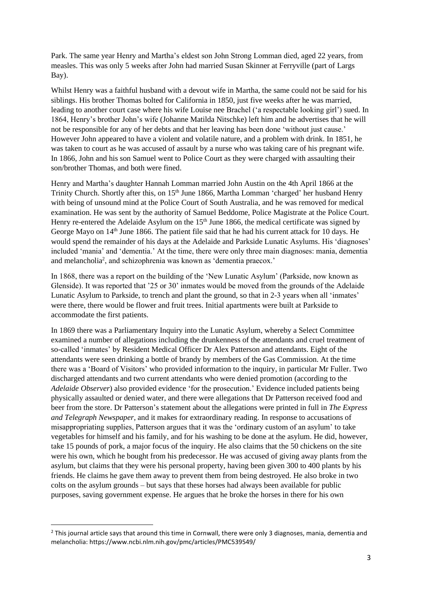Park. The same year Henry and Martha's eldest son John Strong Lomman died, aged 22 years, from measles. This was only 5 weeks after John had married Susan Skinner at Ferryville (part of Largs Bay).

Whilst Henry was a faithful husband with a devout wife in Martha, the same could not be said for his siblings. His brother Thomas bolted for California in 1850, just five weeks after he was married, leading to another court case where his wife Louise nee Brachel ('a respectable looking girl') sued. In 1864, Henry's brother John's wife (Johanne Matilda Nitschke) left him and he advertises that he will not be responsible for any of her debts and that her leaving has been done 'without just cause.' However John appeared to have a violent and volatile nature, and a problem with drink. In 1851, he was taken to court as he was accused of assault by a nurse who was taking care of his pregnant wife. In 1866, John and his son Samuel went to Police Court as they were charged with assaulting their son/brother Thomas, and both were fined.

Henry and Martha's daughter Hannah Lomman married John Austin on the 4th April 1866 at the Trinity Church. Shortly after this, on 15<sup>th</sup> June 1866, Martha Lomman 'charged' her husband Henry with being of unsound mind at the Police Court of South Australia, and he was removed for medical examination. He was sent by the authority of Samuel Beddome, Police Magistrate at the Police Court. Henry re-entered the Adelaide Asylum on the  $15<sup>th</sup>$  June 1866, the medical certificate was signed by George Mayo on 14<sup>th</sup> June 1866. The patient file said that he had his current attack for 10 days. He would spend the remainder of his days at the Adelaide and Parkside Lunatic Asylums. His 'diagnoses' included 'mania' and 'dementia.' At the time, there were only three main diagnoses: mania, dementia and melancholia<sup>2</sup>, and schizophrenia was known as 'dementia praecox.'

In 1868, there was a report on the building of the 'New Lunatic Asylum' (Parkside, now known as Glenside). It was reported that '25 or 30' inmates would be moved from the grounds of the Adelaide Lunatic Asylum to Parkside, to trench and plant the ground, so that in 2-3 years when all 'inmates' were there, there would be flower and fruit trees. Initial apartments were built at Parkside to accommodate the first patients.

In 1869 there was a Parliamentary Inquiry into the Lunatic Asylum, whereby a Select Committee examined a number of allegations including the drunkenness of the attendants and cruel treatment of so-called 'inmates' by Resident Medical Officer Dr Alex Patterson and attendants. Eight of the attendants were seen drinking a bottle of brandy by members of the Gas Commission. At the time there was a 'Board of Visitors' who provided information to the inquiry, in particular Mr Fuller. Two discharged attendants and two current attendants who were denied promotion (according to the *Adelaide Observer*) also provided evidence 'for the prosecution.' Evidence included patients being physically assaulted or denied water, and there were allegations that Dr Patterson received food and beer from the store. Dr Patterson's statement about the allegations were printed in full in *The Express and Telegraph Newspaper,* and it makes for extraordinary reading*.* In response to accusations of misappropriating supplies, Patterson argues that it was the 'ordinary custom of an asylum' to take vegetables for himself and his family, and for his washing to be done at the asylum. He did, however, take 15 pounds of pork, a major focus of the inquiry. He also claims that the 50 chickens on the site were his own, which he bought from his predecessor. He was accused of giving away plants from the asylum, but claims that they were his personal property, having been given 300 to 400 plants by his friends. He claims he gave them away to prevent them from being destroyed. He also broke in two colts on the asylum grounds – but says that these horses had always been available for public purposes, saving government expense. He argues that he broke the horses in there for his own

 $<sup>2</sup>$  This journal article says that around this time in Cornwall, there were only 3 diagnoses, mania, dementia and</sup> melancholia: https://www.ncbi.nlm.nih.gov/pmc/articles/PMC539549/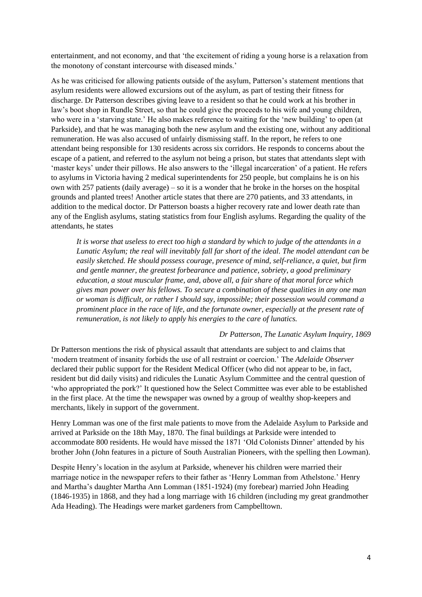entertainment, and not economy, and that 'the excitement of riding a young horse is a relaxation from the monotony of constant intercourse with diseased minds.'

As he was criticised for allowing patients outside of the asylum, Patterson's statement mentions that asylum residents were allowed excursions out of the asylum, as part of testing their fitness for discharge. Dr Patterson describes giving leave to a resident so that he could work at his brother in law's boot shop in Rundle Street, so that he could give the proceeds to his wife and young children, who were in a 'starving state.' He also makes reference to waiting for the 'new building' to open (at Parkside), and that he was managing both the new asylum and the existing one, without any additional remuneration. He was also accused of unfairly dismissing staff. In the report, he refers to one attendant being responsible for 130 residents across six corridors. He responds to concerns about the escape of a patient, and referred to the asylum not being a prison, but states that attendants slept with 'master keys' under their pillows. He also answers to the 'illegal incarceration' of a patient. He refers to asylums in Victoria having 2 medical superintendents for 250 people, but complains he is on his own with 257 patients (daily average) – so it is a wonder that he broke in the horses on the hospital grounds and planted trees! Another article states that there are 270 patients, and 33 attendants, in addition to the medical doctor. Dr Patterson boasts a higher recovery rate and lower death rate than any of the English asylums, stating statistics from four English asylums. Regarding the quality of the attendants, he states

*It is worse that useless to erect too high a standard by which to judge of the attendants in a Lunatic Asylum; the real will inevitably fall far short of the ideal. The model attendant can be easily sketched. He should possess courage, presence of mind, self-reliance, a quiet, but firm and gentle manner, the greatest forbearance and patience, sobriety, a good preliminary education, a stout muscular frame, and, above all, a fair share of that moral force which gives man power over his fellows. To secure a combination of these qualities in any one man or woman is difficult, or rather I should say, impossible; their possession would command a prominent place in the race of life, and the fortunate owner, especially at the present rate of remuneration, is not likely to apply his energies to the care of lunatics.*

## *Dr Patterson, The Lunatic Asylum Inquiry, 1869*

Dr Patterson mentions the risk of physical assault that attendants are subject to and claims that 'modern treatment of insanity forbids the use of all restraint or coercion.' The *Adelaide Observer* declared their public support for the Resident Medical Officer (who did not appear to be, in fact, resident but did daily visits) and ridicules the Lunatic Asylum Committee and the central question of 'who appropriated the pork?' It questioned how the Select Committee was ever able to be established in the first place. At the time the newspaper was owned by a group of wealthy shop-keepers and merchants, likely in support of the government.

Henry Lomman was one of the first male patients to move from the Adelaide Asylum to Parkside and arrived at Parkside on the 18th May, 1870. The final buildings at Parkside were intended to accommodate 800 residents. He would have missed the 1871 'Old Colonists Dinner' attended by his brother John (John features in a picture of South Australian Pioneers, with the spelling then Lowman).

Despite Henry's location in the asylum at Parkside, whenever his children were married their marriage notice in the newspaper refers to their father as 'Henry Lomman from Athelstone.' Henry and Martha's daughter Martha Ann Lomman (1851-1924) (my forebear) married John Heading (1846-1935) in 1868, and they had a long marriage with 16 children (including my great grandmother Ada Heading). The Headings were market gardeners from Campbelltown.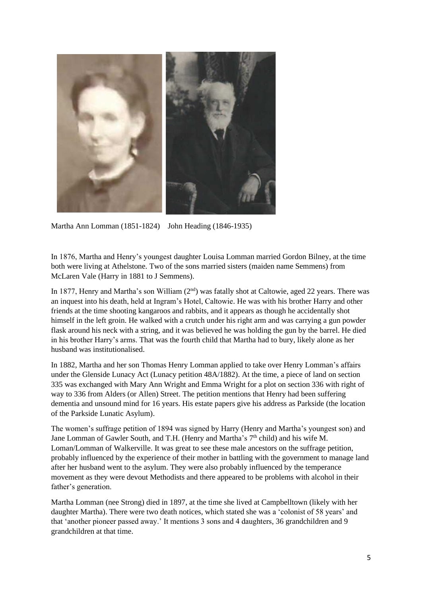

Martha Ann Lomman (1851-1824) John Heading (1846-1935)

In 1876, Martha and Henry's youngest daughter Louisa Lomman married Gordon Bilney, at the time both were living at Athelstone. Two of the sons married sisters (maiden name Semmens) from McLaren Vale (Harry in 1881 to J Semmens).

In 1877, Henry and Martha's son William  $(2<sup>nd</sup>)$  was fatally shot at Caltowie, aged 22 years. There was an inquest into his death, held at Ingram's Hotel, Caltowie. He was with his brother Harry and other friends at the time shooting kangaroos and rabbits, and it appears as though he accidentally shot himself in the left groin. He walked with a crutch under his right arm and was carrying a gun powder flask around his neck with a string, and it was believed he was holding the gun by the barrel. He died in his brother Harry's arms. That was the fourth child that Martha had to bury, likely alone as her husband was institutionalised.

In 1882, Martha and her son Thomas Henry Lomman applied to take over Henry Lomman's affairs under the Glenside Lunacy Act (Lunacy petition 48A/1882). At the time, a piece of land on section 335 was exchanged with Mary Ann Wright and Emma Wright for a plot on section 336 with right of way to 336 from Alders (or Allen) Street. The petition mentions that Henry had been suffering dementia and unsound mind for 16 years. His estate papers give his address as Parkside (the location of the Parkside Lunatic Asylum).

The women's suffrage petition of 1894 was signed by Harry (Henry and Martha's youngest son) and Jane Lomman of Gawler South, and T.H. (Henry and Martha's 7<sup>th</sup> child) and his wife M. Loman/Lomman of Walkerville. It was great to see these male ancestors on the suffrage petition, probably influenced by the experience of their mother in battling with the government to manage land after her husband went to the asylum. They were also probably influenced by the temperance movement as they were devout Methodists and there appeared to be problems with alcohol in their father's generation.

Martha Lomman (nee Strong) died in 1897, at the time she lived at Campbelltown (likely with her daughter Martha). There were two death notices, which stated she was a 'colonist of 58 years' and that 'another pioneer passed away.' It mentions 3 sons and 4 daughters, 36 grandchildren and 9 grandchildren at that time.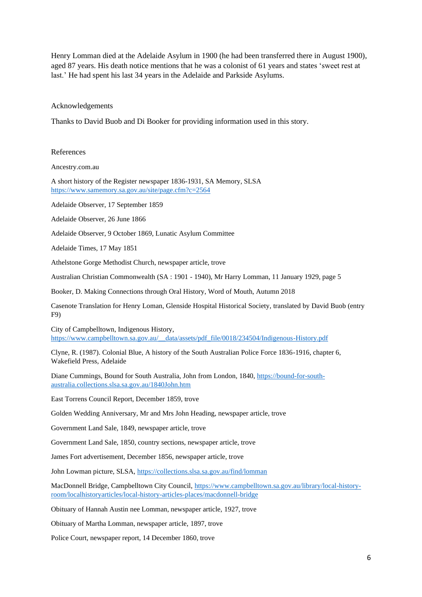Henry Lomman died at the Adelaide Asylum in 1900 (he had been transferred there in August 1900), aged 87 years. His death notice mentions that he was a colonist of 61 years and states 'sweet rest at last.' He had spent his last 34 years in the Adelaide and Parkside Asylums.

Acknowledgements

Thanks to David Buob and Di Booker for providing information used in this story.

References

Ancestry.com.au

A short history of the Register newspaper 1836-1931, SA Memory, SLSA <https://www.samemory.sa.gov.au/site/page.cfm?c=2564>

Adelaide Observer, 17 September 1859

Adelaide Observer, 26 June 1866

Adelaide Observer, 9 October 1869, Lunatic Asylum Committee

Adelaide Times, 17 May 1851

Athelstone Gorge Methodist Church, newspaper article, trove

Australian Christian Commonwealth (SA : 1901 - 1940), Mr Harry Lomman, 11 January 1929, page 5

Booker, D. Making Connections through Oral History, Word of Mouth, Autumn 2018

Casenote Translation for Henry Loman, Glenside Hospital Historical Society, translated by David Buob (entry F9)

City of Campbelltown, Indigenous History, [https://www.campbelltown.sa.gov.au/\\_\\_data/assets/pdf\\_file/0018/234504/Indigenous-History.pdf](https://www.campbelltown.sa.gov.au/__data/assets/pdf_file/0018/234504/Indigenous-History.pdf)

Clyne, R. (1987). Colonial Blue, A history of the South Australian Police Force 1836-1916, chapter 6, Wakefield Press, Adelaide

Diane Cummings, Bound for South Australia, John from London, 1840[, https://bound-for-south](https://bound-for-south-australia.collections.slsa.sa.gov.au/1840John.htm)[australia.collections.slsa.sa.gov.au/1840John.htm](https://bound-for-south-australia.collections.slsa.sa.gov.au/1840John.htm)

East Torrens Council Report, December 1859, trove

Golden Wedding Anniversary, Mr and Mrs John Heading, newspaper article, trove

Government Land Sale, 1849, newspaper article, trove

Government Land Sale, 1850, country sections, newspaper article, trove

James Fort advertisement, December 1856, newspaper article, trove

John Lowman picture, SLSA[, https://collections.slsa.sa.gov.au/find/lomman](https://collections.slsa.sa.gov.au/find/lomman)

MacDonnell Bridge, Campbelltown City Council, [https://www.campbelltown.sa.gov.au/library/local-history](https://www.campbelltown.sa.gov.au/library/local-history-room/localhistoryarticles/local-history-articles-places/macdonnell-bridge)[room/localhistoryarticles/local-history-articles-places/macdonnell-bridge](https://www.campbelltown.sa.gov.au/library/local-history-room/localhistoryarticles/local-history-articles-places/macdonnell-bridge)

Obituary of Hannah Austin nee Lomman, newspaper article, 1927, trove

Obituary of Martha Lomman, newspaper article, 1897, trove

Police Court, newspaper report, 14 December 1860, trove